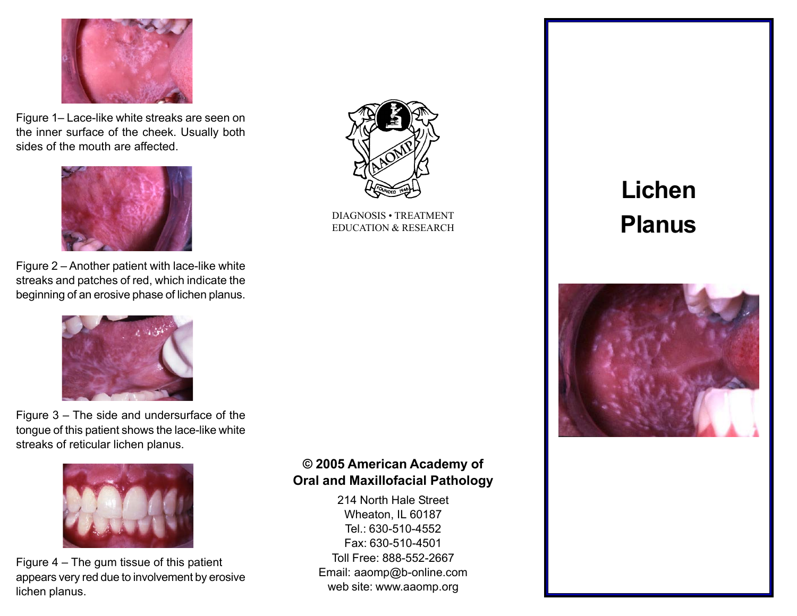

Figure 1– Lace-like white streaks are seen on the inner surface of the cheek. Usually both sides of the mouth are affected.



Figure  $2$  – Another patient with lace-like white streaks and patches of red, which indicate the beginning of an erosive phase of lichen planus.



Figure  $3 -$  The side and undersurface of the tongue of this patient shows the lace-like white streaks of reticular lichen planus.



Figure  $4 -$  The gum tissue of this patient appears very red due to involvement by erosive lichen planus.



DIAGNOSIS · TREATMENT<br>EDUCATION & RESEARCH<br>
And The Manus Planus EDUCATION & RESEARCH

# Lichen



#### © 2005 American Academy of Oral and Maxillofacial Pathology

214 North Hale Street Wheaton, IL 60187 Tel.: 630-510-4552 Fax: 630-510-4501 Toll Free: 888-552-2667 Email: aaomp@b-online.com web site: www.aaomp.org